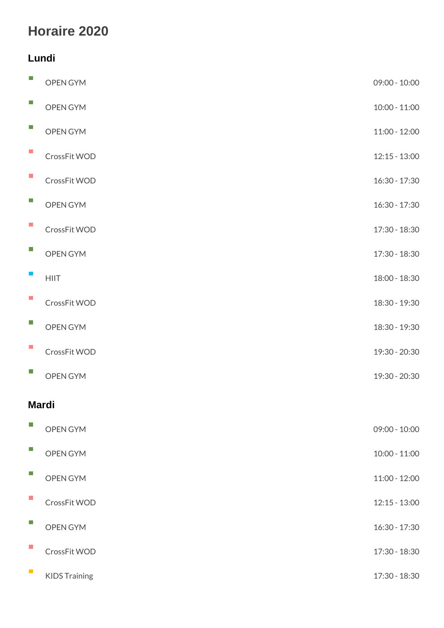## Horaire 2020

## Lundi

| $\mathcal{C}$               | OPEN GYM      | $09:00 - 10:0$ |  |  |  |  |
|-----------------------------|---------------|----------------|--|--|--|--|
| $\sim$                      | OPEN GYM      | $10:00 - 11:0$ |  |  |  |  |
| $\mathcal{L}_{\mathcal{A}}$ | OPEN GYM      | $11:00 - 12:0$ |  |  |  |  |
| $\mathcal{C}$               | CrossFit WOD  | $12:15 - 13:0$ |  |  |  |  |
| $\blacksquare$              | CrossFit WOD  | $16:30 - 17:3$ |  |  |  |  |
| $\mathcal{L}_{\mathcal{A}}$ | OPEN GYM      | $16:30 - 17:3$ |  |  |  |  |
| $\mathcal{L}_{\mathcal{A}}$ | CrossFit WOD  | $17:30 - 18:3$ |  |  |  |  |
| $\mathcal{C}^{\mathcal{A}}$ | OPEN GYM      | $17:30 - 18:3$ |  |  |  |  |
| $\mathcal{L}_{\mathcal{A}}$ | <b>HIIT</b>   | $18:00 - 18:3$ |  |  |  |  |
| $\mathcal{L}_{\mathcal{A}}$ | CrossFit WOD  | $18:30 - 19:3$ |  |  |  |  |
| $\mathbb{R}^n$              | OPEN GYM      | $18:30 - 19:3$ |  |  |  |  |
| $\mathcal{L}_{\mathcal{A}}$ | CrossFit WOD  | $19:30 - 20:3$ |  |  |  |  |
| $\sim$                      | OPEN GYM      | $19:30 - 20:3$ |  |  |  |  |
|                             | Mardi         |                |  |  |  |  |
| $\Box$                      | OPEN GYM      | $09:00 - 10:0$ |  |  |  |  |
| $\overline{\phantom{a}}$    | OPEN GYM      | $10:00 - 11:0$ |  |  |  |  |
| $\mathcal{C}^{\mathcal{A}}$ | OPEN GYM      | $11:00 - 12:0$ |  |  |  |  |
| $\mathcal{L}_{\mathcal{A}}$ | CrossFit WOD  | $12:15 - 13:0$ |  |  |  |  |
| $\mathbb{R}^n$              | OPEN GYM      | $16:30 - 17:3$ |  |  |  |  |
| $\mathcal{L}_{\mathcal{A}}$ | CrossFit WOD  | $17:30 - 18:3$ |  |  |  |  |
| $\mathcal{L}_{\mathcal{A}}$ | KIDS Training | $17:30 - 18:3$ |  |  |  |  |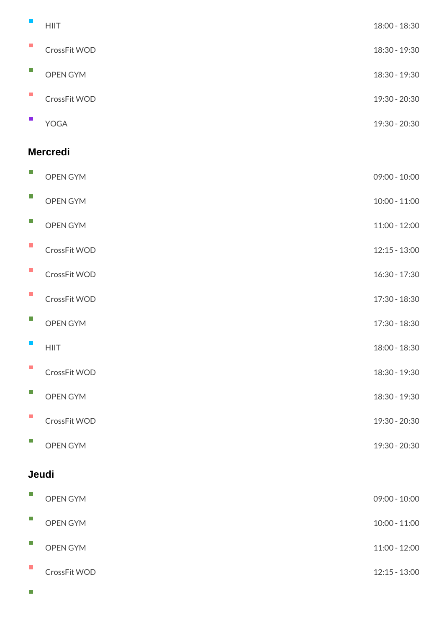| $\mathbb{R}^n$              | HIIT         | $18:00 - 18:3$ |  |  |  |  |  |
|-----------------------------|--------------|----------------|--|--|--|--|--|
| $\mathcal{L}_{\mathcal{A}}$ | CrossFit WOD | $18:30 - 19:3$ |  |  |  |  |  |
| $\mathcal{L}_{\mathcal{A}}$ | OPEN GYM     | $18:30 - 19:3$ |  |  |  |  |  |
| $\mathcal{L}_{\mathcal{A}}$ | CrossFit WOD | $19:30 - 20:3$ |  |  |  |  |  |
| $\mathcal{L}_{\mathcal{A}}$ | YOGA         | $19:30 - 20:3$ |  |  |  |  |  |
| Mercredi                    |              |                |  |  |  |  |  |
| H.                          | OPEN GYM     | $09:00 - 10:0$ |  |  |  |  |  |
| $\overline{\mathbb{R}^n}$   | OPEN GYM     | $10:00 - 11:0$ |  |  |  |  |  |
| $\mathcal{L}_{\mathcal{A}}$ | OPEN GYM     | $11:00 - 12:0$ |  |  |  |  |  |
| $\mathcal{L}_{\mathcal{A}}$ | CrossFit WOD | $12:15 - 13:0$ |  |  |  |  |  |
| $\mathcal{L}_{\mathcal{A}}$ | CrossFit WOD | $16:30 - 17:3$ |  |  |  |  |  |
| $\mathcal{L}_{\mathcal{A}}$ | CrossFit WOD | $17:30 - 18:3$ |  |  |  |  |  |
| $\mathcal{C}^{\mathcal{A}}$ | OPEN GYM     | $17:30 - 18:3$ |  |  |  |  |  |
|                             | <b>HIIT</b>  | $18:00 - 18:3$ |  |  |  |  |  |
| $\sim$                      | CrossFit WOD | $18:30 - 19:3$ |  |  |  |  |  |
| $\mathcal{C}$               | OPEN GYM     | $18:30 - 19:3$ |  |  |  |  |  |
| $\mathcal{L}_{\mathcal{A}}$ | CrossFit WOD | $19:30 - 20:3$ |  |  |  |  |  |
| $\Box$                      | OPEN GYM     | $19:30 - 20:3$ |  |  |  |  |  |
| Jeudi                       |              |                |  |  |  |  |  |
|                             | OPEN GYM     | $09:00 - 10:0$ |  |  |  |  |  |
| $\mathbb{R}^n$              | OPEN GYM     | $10:00 - 11:0$ |  |  |  |  |  |
| $\mathcal{L}_{\mathcal{A}}$ | OPEN GYM     | $11:00 - 12:0$ |  |  |  |  |  |
| $\mathbb{R}^n$              | CrossFit WOD | $12:15 - 13:0$ |  |  |  |  |  |

 $\overline{\phantom{a}}$